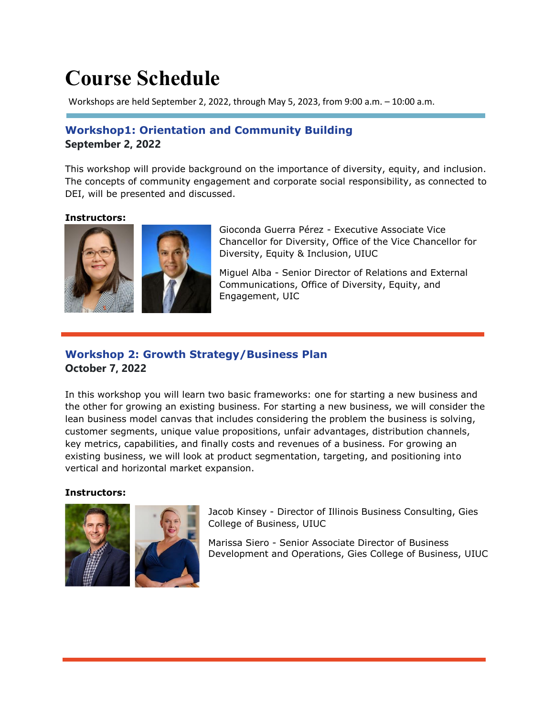# **Course Schedule**

Workshops are held September 2, 2022, through May 5, 2023, from 9:00 a.m. – 10:00 a.m.

## **Workshop1: Orientation and Community Building September 2, 2022**

This workshop will provide background on the importance of diversity, equity, and inclusion. The concepts of community engagement and corporate social responsibility, as connected to DEI, will be presented and discussed.

#### **Instructors:**



Gioconda Guerra Pérez - Executive Associate Vice Chancellor for Diversity, Office of the Vice Chancellor for Diversity, Equity & Inclusion, UIUC

Miguel Alba - Senior Director of Relations and External Communications, Office of Diversity, Equity, and Engagement, UIC

### **Workshop 2: Growth Strategy/Business Plan October 7, 2022**

In this workshop you will learn two basic frameworks: one for starting a new business and the other for growing an existing business. For starting a new business, we will consider the lean business model canvas that includes considering the problem the business is solving, customer segments, unique value propositions, unfair advantages, distribution channels, key metrics, capabilities, and finally costs and revenues of a business. For growing an existing business, we will look at product segmentation, targeting, and positioning into vertical and horizontal market expansion.

#### **Instructors:**



Jacob Kinsey - Director of Illinois Business Consulting, Gies College of Business, UIUC

Marissa Siero - Senior Associate Director of Business Development and Operations, Gies College of Business, UIUC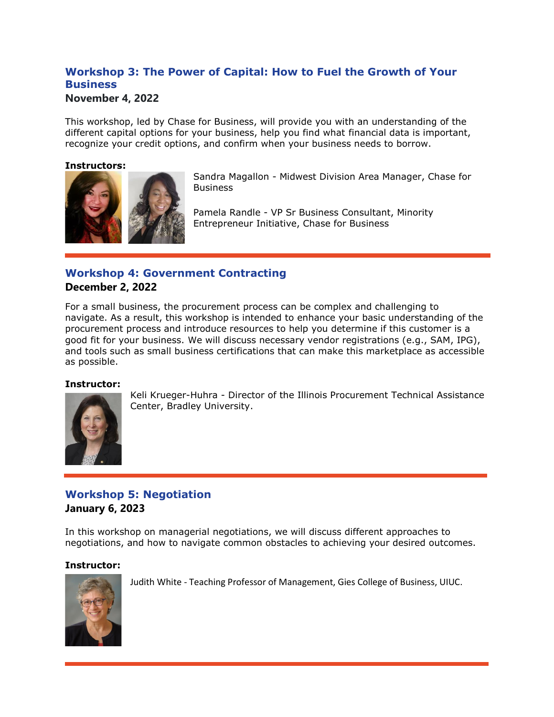## **Workshop 3: The Power of Capital: How to Fuel the Growth of Your Business**

#### **November 4, 2022**

This workshop, led by Chase for Business, will provide you with an understanding of the different capital options for your business, help you find what financial data is important, recognize your credit options, and confirm when your business needs to borrow.

#### **Instructors:**



Sandra Magallon - Midwest Division Area Manager, Chase for **Business** 

Pamela Randle - VP Sr Business Consultant, Minority Entrepreneur Initiative, Chase for Business

## **Workshop 4: Government Contracting**

#### **December 2, 2022**

For a small business, the procurement process can be complex and challenging to navigate. As a result, this workshop is intended to enhance your basic understanding of the procurement process and introduce resources to help you determine if this customer is a good fit for your business. We will discuss necessary vendor registrations (e.g., SAM, IPG), and tools such as small business certifications that can make this marketplace as accessible as possible.

#### **Instructor:**



Keli Krueger-Huhra - Director of the Illinois Procurement Technical Assistance Center, Bradley University.

## **Workshop 5: Negotiation January 6, 2023**

In this workshop on managerial negotiations, we will discuss different approaches to negotiations, and how to navigate common obstacles to achieving your desired outcomes.

#### **Instructor:**



Judith White - Teaching Professor of Management, Gies College of Business, UIUC.